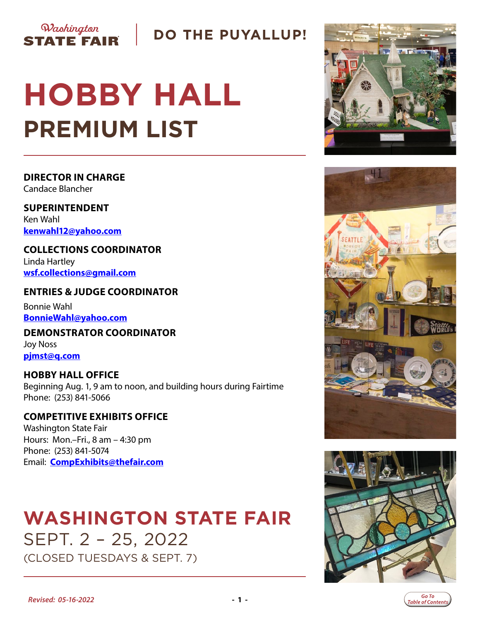

### **DO THE PUYALLUP!**

# **HOBBY HALL PREMIUM LIST**

### **DIRECTOR IN CHARGE**

Candace Blancher

**SUPERINTENDENT** Ken Wahl **kenwahl12@yaho[o.com](mailto:djenkins1117%40hotmail.com?subject=Hobby%20Hall)**

**COLLECTIONS COORDINATOR** Linda Hartley **[wsf.collections@gmail.com](mailto:wsf.collections%40gmail.com?subject=Hobby%20Hall)**

#### **ENTRIES & JUDGE COORDINATOR** Bonnie Wahl

**BonnieWahl@yahoo.[com](mailto:p.larson67%40yahoo.com?subject=Hobby%20Hall)**

**DEMONSTRATOR COORDINATOR** Joy Noss **pjmst@q.com**

#### **HOBBY HALL OFFICE** Beginning Aug. 1, 9 am to noon, and building hours during Fairtime Phone: (253) 841-5066

#### **COMPETITIVE EXHIBITS OFFICE** Washington State Fair Hours: Mon.–Fri., 8 am – 4:30 pm Phone: (253) 841-5074 Email: **[CompExhibits@thefair.com](mailto:CompExhibits%40thefair.com?subject=Hobby%20Hall%20inquiry)**

## **WASHINGTON STATE FAIR** SEPT. 2 – 25, 2022 (CLOSED TUESDAYS & SEPT. 7)







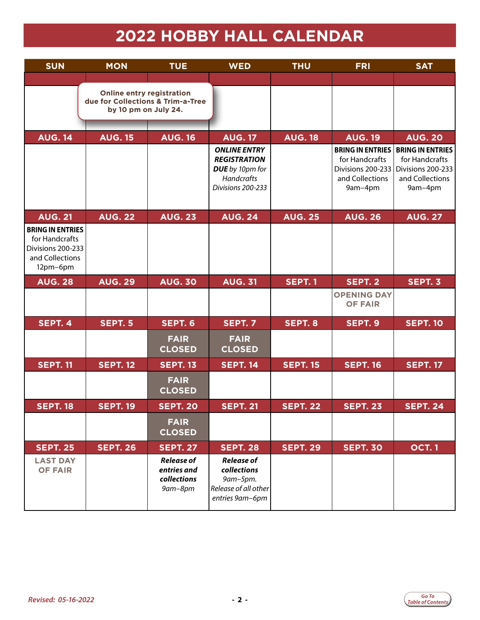# **2022 HOBBY HALL CALENDAR**

<span id="page-1-0"></span>

| <b>SUN</b>                                                                                    | <b>MON</b>                                                                                    | <b>TUE</b>                                                 | <b>WED</b>                                                                                                     | <b>THU</b>      | <b>FRI</b>                                                        | <b>SAT</b>                                                                                                      |
|-----------------------------------------------------------------------------------------------|-----------------------------------------------------------------------------------------------|------------------------------------------------------------|----------------------------------------------------------------------------------------------------------------|-----------------|-------------------------------------------------------------------|-----------------------------------------------------------------------------------------------------------------|
|                                                                                               | <b>Online entry registration</b><br>due for Collections & Trim-a-Tree<br>by 10 pm on July 24. |                                                            |                                                                                                                |                 |                                                                   |                                                                                                                 |
| <b>AUG. 14</b>                                                                                | <b>AUG. 15</b>                                                                                | <b>AUG. 16</b>                                             | <b>AUG. 17</b>                                                                                                 | <b>AUG. 18</b>  | <b>AUG. 19</b>                                                    | <b>AUG. 20</b>                                                                                                  |
|                                                                                               |                                                                                               |                                                            | <b>ONLINE ENTRY</b><br><b>REGISTRATION</b><br><b>DUE</b> by 10pm for<br><b>Handcrafts</b><br>Divisions 200-233 |                 | for Handcrafts<br>Divisions 200-233<br>and Collections<br>9am-4pm | <b>BRING IN ENTRIES   BRING IN ENTRIES</b><br>for Handcrafts<br>Divisions 200-233<br>and Collections<br>9am-4pm |
| <b>AUG. 21</b>                                                                                | <b>AUG. 22</b>                                                                                | <b>AUG. 23</b>                                             | <b>AUG. 24</b>                                                                                                 | <b>AUG. 25</b>  | <b>AUG. 26</b>                                                    | <b>AUG. 27</b>                                                                                                  |
| <b>BRING IN ENTRIES</b><br>for Handcrafts<br>Divisions 200-233<br>and Collections<br>12pm-6pm |                                                                                               |                                                            |                                                                                                                |                 |                                                                   |                                                                                                                 |
| <b>AUG. 28</b>                                                                                | <b>AUG. 29</b>                                                                                | <b>AUG. 30</b>                                             | <b>AUG. 31</b>                                                                                                 | <b>SEPT.1</b>   | SEPT. 2                                                           | SEPT. 3                                                                                                         |
|                                                                                               |                                                                                               |                                                            |                                                                                                                |                 | <b>OPENING DAY</b><br><b>OF FAIR</b>                              |                                                                                                                 |
| SEPT. 4                                                                                       | SEPT. 5                                                                                       | SEPT. 6                                                    | <b>SEPT. 7</b>                                                                                                 | SEPT. 8         | SEPT. 9                                                           | <b>SEPT. 10</b>                                                                                                 |
|                                                                                               |                                                                                               | <b>FAIR</b><br><b>CLOSED</b>                               | <b>FAIR</b><br><b>CLOSED</b>                                                                                   |                 |                                                                   |                                                                                                                 |
| <b>SEPT. 11</b>                                                                               | <b>SEPT. 12</b>                                                                               | <b>SEPT. 13</b>                                            | <b>SEPT. 14</b>                                                                                                | <b>SEPT. 15</b> | <b>SEPT. 16</b>                                                   | <b>SEPT. 17</b>                                                                                                 |
|                                                                                               |                                                                                               | <b>FAIR</b><br><b>CLOSED</b>                               |                                                                                                                |                 |                                                                   |                                                                                                                 |
| <b>SEPT. 18</b>                                                                               | <b>SEPT. 19</b>                                                                               | <b>SEPT. 20</b>                                            | <b>SEPT. 21</b>                                                                                                | <b>SEPT. 22</b> | <b>SEPT. 23</b>                                                   | <b>SEPT. 24</b>                                                                                                 |
|                                                                                               |                                                                                               | <b>FAIR</b><br><b>CLOSED</b>                               |                                                                                                                |                 |                                                                   |                                                                                                                 |
| <b>SEPT. 25</b>                                                                               | <b>SEPT. 26</b>                                                                               | <b>SEPT. 27</b>                                            | <b>SEPT. 28</b>                                                                                                | <b>SEPT. 29</b> | <b>SEPT. 30</b>                                                   | <b>OCT.1</b>                                                                                                    |
| <b>LAST DAY</b><br><b>OF FAIR</b>                                                             |                                                                                               | <b>Release of</b><br>entries and<br>collections<br>9am-8pm | <b>Release of</b><br>collections<br>9am-5pm.<br>Release of all other<br>entries 9am-6pm                        |                 |                                                                   |                                                                                                                 |

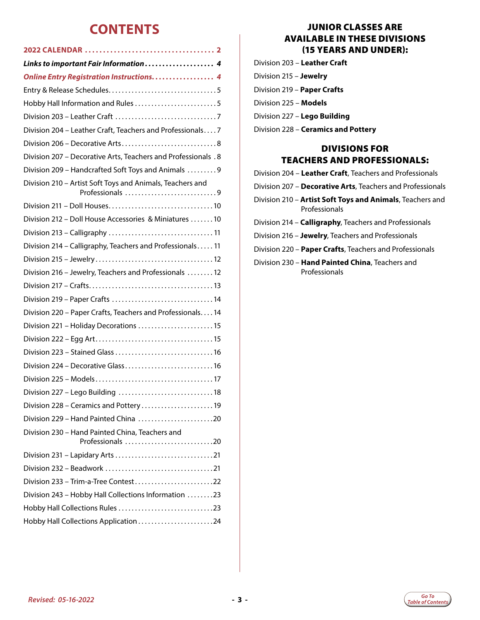### **CONTENTS**

| <b>Online Entry Registration Instructions 4</b>                              |
|------------------------------------------------------------------------------|
|                                                                              |
| Hobby Hall Information and Rules 5                                           |
|                                                                              |
| Division 204 - Leather Craft, Teachers and Professionals7                    |
|                                                                              |
| <b>Division 207 - Decorative Arts, Teachers and Professionals .8</b>         |
| Division 209 - Handcrafted Soft Toys and Animals  9                          |
| Division 210 - Artist Soft Toys and Animals, Teachers and<br>Professionals 9 |
|                                                                              |
| Division 212 - Doll House Accessories & Miniatures 10                        |
|                                                                              |
| Division 214 - Calligraphy, Teachers and Professionals 11                    |
|                                                                              |
| Division 216 - Jewelry, Teachers and Professionals 12                        |
|                                                                              |
|                                                                              |
| Division 220 - Paper Crafts, Teachers and Professionals 14                   |
| Division 221 - Holiday Decorations  15                                       |
|                                                                              |
|                                                                              |
| Division 224 - Decorative Glass 16                                           |
|                                                                              |
|                                                                              |
| Division 228 - Ceramics and Pottery 19                                       |
| Division 229 – Hand Painted China 20                                         |
| Division 230 - Hand Painted China, Teachers and<br>Professionals 20          |
|                                                                              |
|                                                                              |
| Division 233 - Trim-a-Tree Contest22                                         |
| Division 243 - Hobby Hall Collections Information 23                         |
|                                                                              |
| Hobby Hall Collections Application 24                                        |

#### JUNIOR CLASSES ARE AVAILABLE IN THESE DIVISIONS (15 YEARS AND UNDER):

| Division 203 – <b>Leather Craft</b> |  |  |
|-------------------------------------|--|--|
|                                     |  |  |

- Division 215 **Jewelry**
- Division 219 **Paper Crafts**
- Division 225 **Models**
- Division 227 **Lego Building**
- Division 228 **Ceramics and Pottery**

#### DIVISIONS FOR TEACHERS AND PROFESSIONALS:

- Division 204 **Leather Craft**, Teachers and Professionals
- Division 207 **Decorative Arts**, Teachers and Professionals
- Division 210 **Artist Soft Toys and Animals**, Teachers and Professionals
- Division 214 **Calligraphy**, Teachers and Professionals
- Division 216 **Jewelry**, Teachers and Professionals
- Division 220 **Paper Crafts**, Teachers and Professionals
- Division 230 **Hand Painted China**, Teachers and Professionals

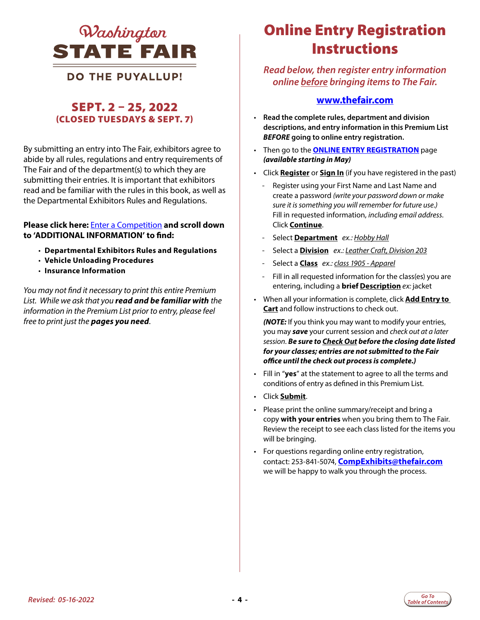<span id="page-3-0"></span>

### **DO THE PUYALLUP!**

### SEPT. 2 – 25, 2022 (CLOSED TUESDAYS & SEPT. 7)

By submitting an entry into The Fair, exhibitors agree to abide by all rules, regulations and entry requirements of The Fair and of the department(s) to which they are submitting their entries. It is important that exhibitors read and be familiar with the rules in this book, as well as the Departmental Exhibitors Rules and Regulations.

#### **Please click here:** [Enter a Competition](https://www.thefair.com/get-involved/competitive-exhibits/) **and scroll down to 'ADDITIONAL INFORMATION' to find:**

- **Departmental Exhibitors Rules and Regulations**
- **Vehicle Unloading Procedures**
- **Insurance Information**

*You may not find it necessary to print this entire Premium List. While we ask that you read and be familiar with the information in the Premium List prior to entry, please feel free to print just the pages you need*.

### *QUashington* **Conline Entry Registration Instructions**

#### *Read below, then register entry information online before bringing items to The Fair.*

#### **[www.thefair.com](http://www.thefair.com)**

- **Read the complete rules, department and division descriptions, and entry information in this Premium List**  *BEFORE* **going to online entry registration.**
- Then go to the **[ONLINE ENTRY REGISTRATION](https://wwf.fairwire.com/)** page *(available starting in May)*
- Click **Register** or **Sign In** (if you have registered in the past)
	- Register using your First Name and Last Name and create a password *(write your password down or make sure it is something you will remember for future use.)* Fill in requested information, *including email address*. Click **Continue**.
	- Select **Department** *ex.: Hobby Hall*
	- Select a **Division** *ex.: Leather Craft, Division 203*
	- Select a **Class** *ex.: class 1905 Apparel*
	- Fill in all requested information for the class(es) you are entering, including a **brief Description** *ex:* jacket
- When all your information is complete, click **Add Entry to Cart** and follow instructions to check out.

*(NOTE:* If you think you may want to modify your entries, you may *save* your current session and *check out at a later session*. *Be sure to Check Out before the closing date listed for your classes; entries are not submitted to the Fair office until the check out process is complete.)*

- Fill in "**yes**" at the statement to agree to all the terms and conditions of entry as defined in this Premium List.
- Click **Submit**.
- Please print the online summary/receipt and bring a copy **with your entries** when you bring them to The Fair. Review the receipt to see each class listed for the items you will be bringing.
- For questions regarding online entry registration, contact: 253-841-5074, **CompExhibits@thefair.com** we will be happy to walk you through the process.

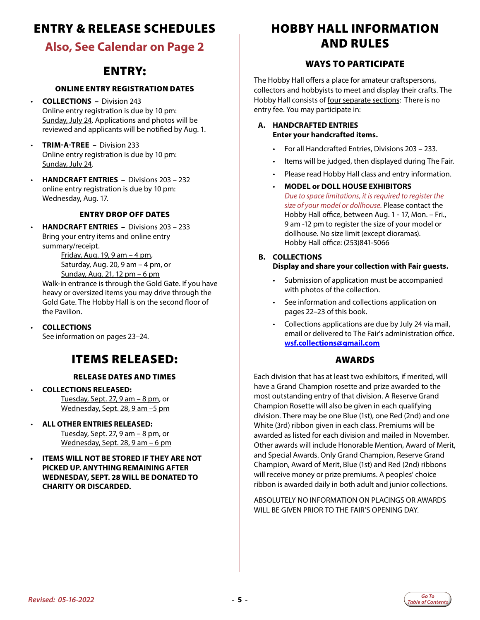### <span id="page-4-0"></span>ENTRY & RELEASE SCHEDULES

### **Also, See Calendar on Page 2**

### ENTRY:

#### ONLINE ENTRY REGISTRATION DATES

- **COLLECTIONS** Division 243 Online entry registration is due by 10 pm: Sunday, July 24. Applications and photos will be reviewed and applicants will be notified by Aug. 1.
- **TRIM-A-TREE** Division 233 Online entry registration is due by 10 pm: Sunday, July 24.
- **HANDCRAFT ENTRIES** Divisions 203 232 online entry registration is due by 10 pm: Wednesday, Aug. 17.

#### ENTRY DROP OFF DATES

• **HANDCRAFT ENTRIES –** Divisions 203 – 233 Bring your entry items and online entry summary/receipt.

Friday, Aug. 19, 9 am – 4 pm, Saturday, Aug. 20, 9 am – 4 pm, or Sunday, Aug. 21, 12 pm – 6 pm

Walk-in entrance is through the Gold Gate. If you have heavy or oversized items you may drive through the Gold Gate. The Hobby Hall is on the second floor of the Pavilion.

• **COLLECTIONS** See information on pages 23–24.

### ITEMS RELEASED:

#### RELEASE DATES AND TIMES

- **COLLECTIONS RELEASED:**  Tuesday, Sept. 27, 9 am – 8 pm, or Wednesday, Sept. 28, 9 am –5 pm
- **ALL OTHER ENTRIES RELEASED:**  Tuesday, Sept. 27, 9 am – 8 pm, or Wednesday, Sept. 28, 9 am – 6 pm
- **• ITEMS WILL NOT BE STORED IF THEY ARE NOT PICKED UP. ANYTHING REMAINING AFTER WEDNESDAY, SEPT. 28 WILL BE DONATED TO CHARITY OR DISCARDED.**

### HOBBY HALL INFORMATION AND RULES

#### WAYS TO PARTICIPATE

The Hobby Hall offers a place for amateur craftspersons, collectors and hobbyists to meet and display their crafts. The Hobby Hall consists of four separate sections: There is no entry fee. You may participate in:

#### **A. HANDCRAFTED ENTRIES Enter your handcrafted items.**

- For all Handcrafted Entries, Divisions 203 233.
- Items will be judged, then displayed during The Fair.
- Please read Hobby Hall class and entry information.
- **MODEL or DOLL HOUSE EXHIBITORS** *Due to space limitations, it is required to register the size of your model or dollhouse.* Please contact the Hobby Hall office, between Aug. 1 - 17, Mon. – Fri., 9 am -12 pm to register the size of your model or dollhouse. No size limit (except dioramas). Hobby Hall office: (253)841-5066
- **B. COLLECTIONS Display and share your collection with Fair guests.**
	- Submission of application must be accompanied with photos of the collection.
	- See information and collections application on pages 22–23 of this book.
	- Collections applications are due by July 24 via mail, email or delivered to The Fair's administration office. **[wsf.collections@gmail.com](mailto:wsf.collections%40gmail.com?subject=Hobby%20Hall)**

#### AWARDS

Each division that has at least two exhibitors, if merited, will have a Grand Champion rosette and prize awarded to the most outstanding entry of that division. A Reserve Grand Champion Rosette will also be given in each qualifying division. There may be one Blue (1st), one Red (2nd) and one White (3rd) ribbon given in each class. Premiums will be awarded as listed for each division and mailed in November. Other awards will include Honorable Mention, Award of Merit, and Special Awards. Only Grand Champion, Reserve Grand Champion, Award of Merit, Blue (1st) and Red (2nd) ribbons will receive money or prize premiums. A peoples' choice ribbon is awarded daily in both adult and junior collections.

ABSOLUTELY NO INFORMATION ON PLACINGS OR AWARDS WILL BE GIVEN PRIOR TO THE FAIR'S OPENING DAY.

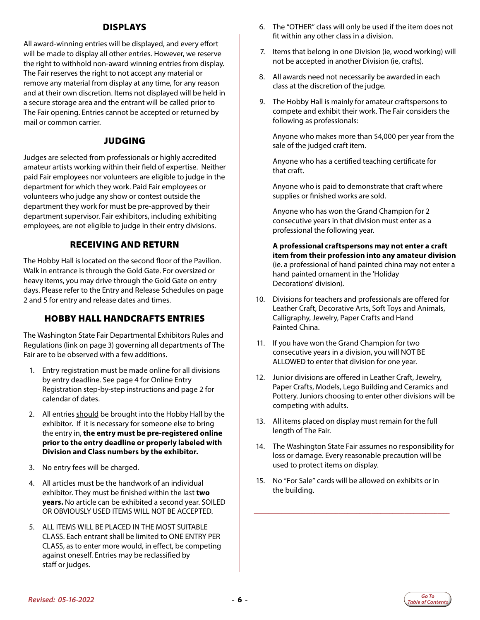#### DISPLAYS

All award-winning entries will be displayed, and every effort will be made to display all other entries. However, we reserve the right to withhold non-award winning entries from display. The Fair reserves the right to not accept any material or remove any material from display at any time, for any reason and at their own discretion. Items not displayed will be held in a secure storage area and the entrant will be called prior to The Fair opening. Entries cannot be accepted or returned by mail or common carrier.

#### JUDGING

Judges are selected from professionals or highly accredited amateur artists working within their field of expertise. Neither paid Fair employees nor volunteers are eligible to judge in the department for which they work. Paid Fair employees or volunteers who judge any show or contest outside the department they work for must be pre-approved by their department supervisor. Fair exhibitors, including exhibiting employees, are not eligible to judge in their entry divisions.

#### RECEIVING AND RETURN

The Hobby Hall is located on the second floor of the Pavilion. Walk in entrance is through the Gold Gate. For oversized or heavy items, you may drive through the Gold Gate on entry days. Please refer to the Entry and Release Schedules on page 2 and 5 for entry and release dates and times.

#### HOBBY HALL HANDCRAFTS ENTRIES

The Washington State Fair Departmental Exhibitors Rules and Regulations (link on page 3) governing all departments of The Fair are to be observed with a few additions.

- 1. Entry registration must be made online for all divisions by entry deadline. See page 4 for Online Entry Registration step-by-step instructions and page 2 for calendar of dates.
- 2. All entries should be brought into the Hobby Hall by the exhibitor. If it is necessary for someone else to bring the entry in, **the entry must be pre-registered online prior to the entry deadline or properly labeled with Division and Class numbers by the exhibitor.**
- 3. No entry fees will be charged.
- 4. All articles must be the handwork of an individual exhibitor. They must be finished within the last **two years.** No article can be exhibited a second year. SOILED OR OBVIOUSLY USED ITEMS WILL NOT BE ACCEPTED.
- 5. ALL ITEMS WILL BE PLACED IN THE MOST SUITABLE CLASS. Each entrant shall be limited to ONE ENTRY PER CLASS, as to enter more would, in effect, be competing against oneself. Entries may be reclassified by staff or judges.
- 6. The "OTHER" class will only be used if the item does not fit within any other class in a division.
- 7. Items that belong in one Division (ie, wood working) will not be accepted in another Division (ie, crafts).
- 8. All awards need not necessarily be awarded in each class at the discretion of the judge.
- 9. The Hobby Hall is mainly for amateur craftspersons to compete and exhibit their work. The Fair considers the following as professionals:

 Anyone who makes more than \$4,000 per year from the sale of the judged craft item.

 Anyone who has a certified teaching certificate for that craft.

 Anyone who is paid to demonstrate that craft where supplies or finished works are sold.

 Anyone who has won the Grand Champion for 2 consecutive years in that division must enter as a professional the following year.

 **A professional craftspersons may not enter a craft item from their profession into any amateur division**  (ie. a professional of hand painted china may not enter a hand painted ornament in the 'Holiday Decorations' division).

- 10. Divisions for teachers and professionals are offered for Leather Craft, Decorative Arts, Soft Toys and Animals, Calligraphy, Jewelry, Paper Crafts and Hand Painted China.
- 11. If you have won the Grand Champion for two consecutive years in a division, you will NOT BE ALLOWED to enter that division for one year.
- 12. Junior divisions are offered in Leather Craft, Jewelry, Paper Crafts, Models, Lego Building and Ceramics and Pottery. Juniors choosing to enter other divisions will be competing with adults.
- 13. All items placed on display must remain for the full length of The Fair.
- 14. The Washington State Fair assumes no responsibility for loss or damage. Every reasonable precaution will be used to protect items on display.
- 15. No "For Sale" cards will be allowed on exhibits or in the building.

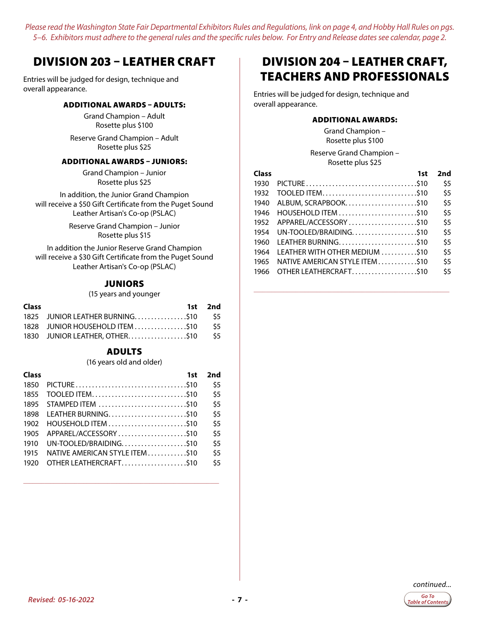### <span id="page-6-0"></span>DIVISION 203 – LEATHER CRAFT

Entries will be judged for design, technique and overall appearance.

#### ADDITIONAL AWARDS – ADULTS:

Grand Champion – Adult Rosette plus \$100

Reserve Grand Champion – Adult Rosette plus \$25

#### ADDITIONAL AWARDS – JUNIORS:

Grand Champion – Junior Rosette plus \$25

In addition, the Junior Grand Champion will receive a \$50 Gift Certificate from the Puget Sound Leather Artisan's Co-op (PSLAC)

> Reserve Grand Champion – Junior Rosette plus \$15

In addition the Junior Reserve Grand Champion will receive a \$30 Gift Certificate from the Puget Sound Leather Artisan's Co-op (PSLAC)

#### **JUNIORS**

(15 years and younger

| <b>Class</b> |                                     | 1st 2nd |
|--------------|-------------------------------------|---------|
|              | 1825 JUNIOR LEATHER BURNING\$10 \$5 |         |
|              |                                     |         |
|              |                                     |         |

#### ADULTS

(16 years old and older)

| Class | 1st                            | 2nd |
|-------|--------------------------------|-----|
| 1850  |                                | \$5 |
| 1855  |                                | \$5 |
| 1895  | STAMPED ITEM \$10              | \$5 |
| 1898  |                                | \$5 |
| 1902  |                                | \$5 |
| 1905  | APPAREL/ACCESSORY\$10          | \$5 |
| 1910  |                                | \$5 |
| 1915  | NATIVE AMERICAN STYLE ITEM\$10 | \$5 |
| 1920  | OTHER LEATHERCRAFT\$10         | \$5 |

**\_\_\_\_\_\_\_\_\_\_\_\_\_\_\_\_\_\_\_\_\_\_\_\_\_\_\_\_\_\_\_\_\_\_\_\_\_\_\_\_\_\_\_\_\_\_\_\_\_\_\_\_\_\_\_\_\_\_\_\_\_\_\_\_\_**

### DIVISION 204 – LEATHER CRAFT, TEACHERS AND PROFESSIONALS

Entries will be judged for design, technique and overall appearance.

#### ADDITIONAL AWARDS:

Grand Champion – Rosette plus \$100

Reserve Grand Champion – Rosette plus \$25

| Class | 1st                            | 2nd |
|-------|--------------------------------|-----|
| 1930  |                                | \$5 |
| 1932  | TOOLED ITEM\$10                | \$5 |
| 1940  |                                | \$5 |
| 1946  |                                | \$5 |
| 1952  |                                | \$5 |
| 1954  |                                | \$5 |
| 1960  |                                | \$5 |
| 1964  | LEATHER WITH OTHER MEDIUM \$10 | \$5 |
| 1965  | NATIVE AMERICAN STYLE ITEM510  | \$5 |
| 1966  | OTHER LEATHERCRAFT\$10         | \$5 |

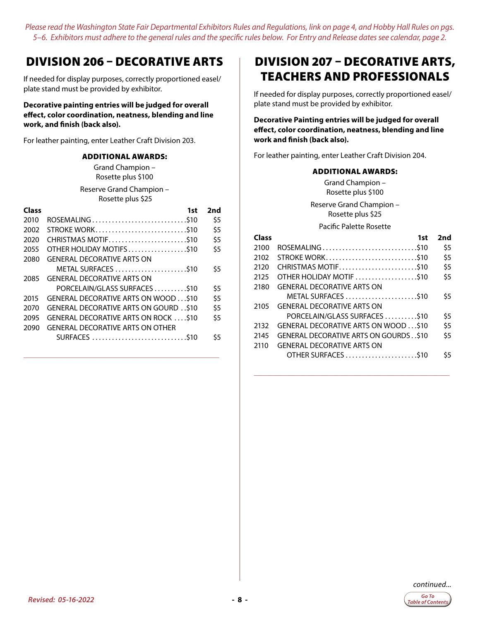### <span id="page-7-0"></span>DIVISION 206 – DECORATIVE ARTS

If needed for display purposes, correctly proportioned easel/ plate stand must be provided by exhibitor.

#### **Decorative painting entries will be judged for overall effect, color coordination, neatness, blending and line work, and finish (back also).**

For leather painting, enter Leather Craft Division 203.

#### ADDITIONAL AWARDS:

Grand Champion – Rosette plus \$100

Reserve Grand Champion – Rosette plus \$25

| <b>Class</b> | 1st                                             | 2nd |
|--------------|-------------------------------------------------|-----|
| 2010         |                                                 | \$5 |
| 2002         | STROKE WORK\$10                                 | \$5 |
| 2020         | CHRISTMAS MOTIF\$10                             | \$5 |
| 2055         | OTHER HOLIDAY MOTIFS\$10                        | \$5 |
| 2080         | <b>GENERAL DECORATIVE ARTS ON</b>               |     |
|              | METAL SURFACES \$10                             | \$5 |
| 2085         | <b>GENERAL DECORATIVE ARTS ON</b>               |     |
|              |                                                 | \$5 |
| 2015         | GENERAL DECORATIVE ARTS ON WOOD \$10            | \$5 |
| 2070         | <b>GENERAL DECORATIVE ARTS ON GOURD. . \$10</b> | \$5 |
| 2095         | GENERAL DECORATIVE ARTS ON ROCK S10             | \$5 |
| 2090         | <b>GENERAL DECORATIVE ARTS ON OTHER</b>         |     |
|              |                                                 | \$5 |
|              |                                                 |     |

**\_\_\_\_\_\_\_\_\_\_\_\_\_\_\_\_\_\_\_\_\_\_\_\_\_\_\_\_\_\_\_\_\_\_\_\_\_\_\_\_\_\_\_\_\_\_\_\_\_\_\_\_\_\_\_\_\_\_\_\_\_\_\_\_\_**

### DIVISION 207 – DECORATIVE ARTS, TEACHERS AND PROFESSIONALS

If needed for display purposes, correctly proportioned easel/ plate stand must be provided by exhibitor.

**Decorative Painting entries will be judged for overall effect, color coordination, neatness, blending and line work and finish (back also).**

For leather painting, enter Leather Craft Division 204.

#### ADDITIONAL AWARDS:

Grand Champion – Rosette plus \$100 Reserve Grand Champion – Rosette plus \$25

#### Pacific Palette Rosette

| Class | 1st                                              | 2nd |
|-------|--------------------------------------------------|-----|
| 2100  | ROSEMALING\$10                                   | \$5 |
| 2102  | STROKE WORK\$10                                  | \$5 |
| 2120  | CHRISTMAS MOTIF\$10                              | \$5 |
| 2125  | OTHER HOLIDAY MOTIF \$10                         | \$5 |
| 2180  | <b>GENERAL DECORATIVE ARTS ON</b>                |     |
|       | METAL SURFACES  \$10                             | \$5 |
| 2105  | <b>GENERAL DECORATIVE ARTS ON</b>                |     |
|       | PORCELAIN/GLASS SURFACES \$10                    | \$5 |
| 2132  | GENERAL DECORATIVE ARTS ON WOOD  \$10            | \$5 |
| 2145  | <b>GENERAL DECORATIVE ARTS ON GOURDS. . \$10</b> | \$5 |
| 2110  | <b>GENERAL DECORATIVE ARTS ON</b>                |     |
|       | OTHER SURFACES \$10                              | \$5 |

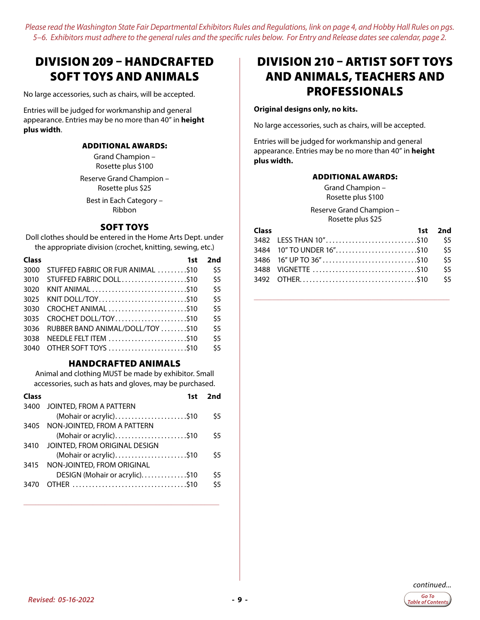### <span id="page-8-0"></span>DIVISION 209 – HANDCRAFTED SOFT TOYS AND ANIMALS

No large accessories, such as chairs, will be accepted.

Entries will be judged for workmanship and general appearance. Entries may be no more than 40" in **height plus width**.

#### ADDITIONAL AWARDS:

Grand Champion – Rosette plus \$100

Reserve Grand Champion – Rosette plus \$25

Best in Each Category – Ribbon

#### SOFT TOYS

Doll clothes should be entered in the Home Arts Dept. under the appropriate division (crochet, knitting, sewing, etc.)

| Class | 1st                               | 2nd |
|-------|-----------------------------------|-----|
| 3000  | STUFFED FABRIC OR FUR ANIMAL S10  | \$5 |
| 3010  |                                   | \$5 |
| 3020  |                                   | \$5 |
| 3025  |                                   | \$5 |
| 3030  | CROCHET ANIMAL \$10               | \$5 |
| 3035  |                                   | \$5 |
| 3036  | RUBBER BAND ANIMAL/DOLL/TOY  \$10 | \$5 |
| 3038  | NEEDLE FELT ITEM \$10             | \$5 |
| 3040  | OTHER SOFT TOYS \$10              | \$5 |

#### HANDCRAFTED ANIMALS

Animal and clothing MUST be made by exhibitor. Small accessories, such as hats and gloves, may be purchased.

| <b>Class</b> | 1st                            | 2nd |
|--------------|--------------------------------|-----|
| 3400         | JOINTED, FROM A PATTERN        |     |
|              | (Mohair or acrylic)\$10        | \$5 |
| 3405         | NON-JOINTED, FROM A PATTERN    |     |
|              | (Mohair or acrylic)\$10        | \$5 |
| 3410         | JOINTED, FROM ORIGINAL DESIGN  |     |
|              | (Mohair or acrylic)\$10        | \$5 |
| 3415         | NON-JOINTED, FROM ORIGINAL     |     |
|              | DESIGN (Mohair or acrylic)\$10 | \$5 |
| 3470         |                                | \$5 |
|              |                                |     |

**\_\_\_\_\_\_\_\_\_\_\_\_\_\_\_\_\_\_\_\_\_\_\_\_\_\_\_\_\_\_\_\_\_\_\_\_\_\_\_\_\_\_\_\_\_\_\_\_\_\_\_\_\_\_\_\_\_\_\_\_\_\_\_\_\_**

### DIVISION 210 – ARTIST SOFT TOYS AND ANIMALS, TEACHERS AND PROFESSIONALS

#### **Original designs only, no kits.**

No large accessories, such as chairs, will be accepted.

Entries will be judged for workmanship and general appearance. Entries may be no more than 40" in **height plus width.** 

#### ADDITIONAL AWARDS:

Grand Champion – Rosette plus \$100

Reserve Grand Champion – Rosette plus \$25

| <b>Class</b> | 1st 2nd |
|--------------|---------|
|              |         |
|              |         |
|              | \$5     |
|              | \$5     |
|              |         |

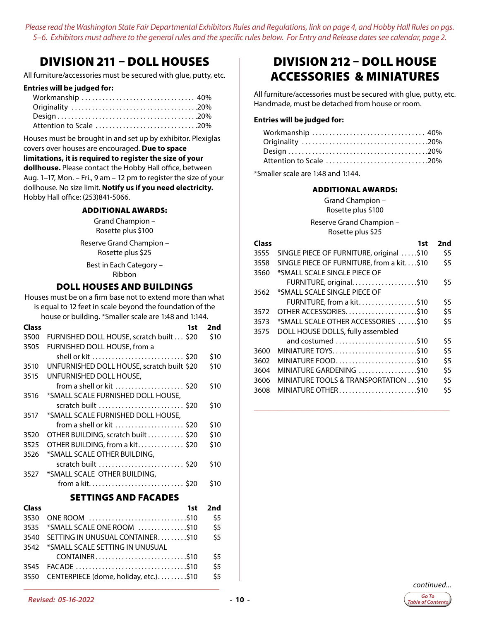### <span id="page-9-0"></span>DIVISION 211 – DOLL HOUSES

All furniture/accessories must be secured with glue, putty, etc.

#### **Entries will be judged for:**

| Attention to Scale 20% |  |
|------------------------|--|

Houses must be brought in and set up by exhibitor. Plexiglas covers over houses are encouraged. **Due to space** 

#### **limitations, it is required to register the size of your dollhouse.** Please contact the Hobby Hall office, between Aug. 1–17, Mon. – Fri., 9 am – 12 pm to register the size of your

dollhouse. No size limit. **Notify us if you need electricity.** Hobby Hall office: (253)841-5066.

#### ADDITIONAL AWARDS:

Grand Champion – Rosette plus \$100

Reserve Grand Champion – Rosette plus \$25

Best in Each Category – Ribbon

#### DOLL HOUSES AND BUILDINGS

Houses must be on a firm base not to extend more than what is equal to 12 feet in scale beyond the foundation of the house or building. \*Smaller scale are 1:48 and 1:144.

| <b>Class</b> |                                            | 1st | 2nd  |
|--------------|--------------------------------------------|-----|------|
| 3500         | FURNISHED DOLL HOUSE, scratch built \$20   |     | \$10 |
| 3505         | FURNISHED DOLL HOUSE, from a               |     |      |
|              | shell or kit  \$20                         |     | \$10 |
| 3510         | UNFURNISHED DOLL HOUSE, scratch built \$20 |     | \$10 |
| 3515         | UNFURNISHED DOLL HOUSE,                    |     |      |
|              | from a shell or kit  \$20                  |     | \$10 |
| 3516         | *SMALL SCALE FURNISHED DOLL HOUSE,         |     |      |
|              | scratch built  \$20                        |     | \$10 |
| 3517         | *SMALL SCALE FURNISHED DOLL HOUSE,         |     |      |
|              | from a shell or kit  \$20                  |     | \$10 |
| 3520         | OTHER BUILDING, scratch built \$20         |     | \$10 |
| 3525         | OTHER BUILDING, from a kit\$20             |     | \$10 |
| 3526         | *SMALL SCALE OTHER BUILDING,               |     |      |
|              | scratch built  \$20                        |     | \$10 |
| 3527         | *SMALL SCALE OTHER BUILDING,               |     |      |
|              | from a kit \$20                            |     | \$10 |
|              | <b>SETTINGS AND FACADES</b>                |     |      |
|              |                                            |     |      |
| Class        |                                            | 1st | 2nd  |

| 3530 ONE ROOM \$10                         | \$5 |
|--------------------------------------------|-----|
| 3535 *SMALL SCALE ONE ROOM \$10            | \$5 |
| 3540 SETTING IN UNUSUAL CONTAINER\$10      | \$5 |
| 3542 *SMALL SCALE SETTING IN UNUSUAL       |     |
| CONTAINER\$10                              | \$5 |
|                                            | \$5 |
| 3550 CENTERPIECE (dome, holiday, etc.)\$10 | \$5 |
|                                            |     |

**\_\_\_\_\_\_\_\_\_\_\_\_\_\_\_\_\_\_\_\_\_\_\_\_\_\_\_\_\_\_\_\_\_\_\_\_\_\_\_\_\_\_\_\_\_\_\_\_\_\_\_\_\_\_\_\_\_\_\_\_\_\_\_\_\_**

### DIVISION 212 – DOLL HOUSE ACCESSORIES & MINIATURES

All furniture/accessories must be secured with glue, putty, etc. Handmade, must be detached from house or room.

#### **Entries will be judged for:**

| Workmanship  40%       |  |
|------------------------|--|
|                        |  |
|                        |  |
| Attention to Scale 20% |  |

\*Smaller scale are 1:48 and 1:144.

#### ADDITIONAL AWARDS:

Grand Champion – Rosette plus \$100

Reserve Grand Champion – Rosette plus \$25

| Class | 1st                                       | 2nd |
|-------|-------------------------------------------|-----|
| 3555  | SINGLE PIECE OF FURNITURE, original \$10  | \$5 |
| 3558  | SINGLE PIECE OF FURNITURE, from a kit\$10 | \$5 |
| 3560  | *SMALL SCALE SINGLE PIECE OF              |     |
|       | FURNITURE, original\$10                   | \$5 |
| 3562  | *SMALL SCALE SINGLE PIECE OF              |     |
|       | FURNITURE, from a kit\$10                 | \$5 |
| 3572  | OTHER ACCESSORIES\$10                     | \$5 |
| 3573  | *SMALL SCALE OTHER ACCESSORIES \$10       | \$5 |
| 3575  | DOLL HOUSE DOLLS, fully assembled         |     |
|       | and costumed \$10                         | \$5 |
| 3600  | MINIATURE TOYS\$10                        | \$5 |
| 3602  |                                           | \$5 |
| 3604  | MINIATURE GARDENING \$10                  | \$5 |
| 3606  | MINIATURE TOOLS & TRANSPORTATION \$10     | \$5 |
| 3608  | MINIATURE OTHER\$10                       | \$5 |
|       |                                           |     |

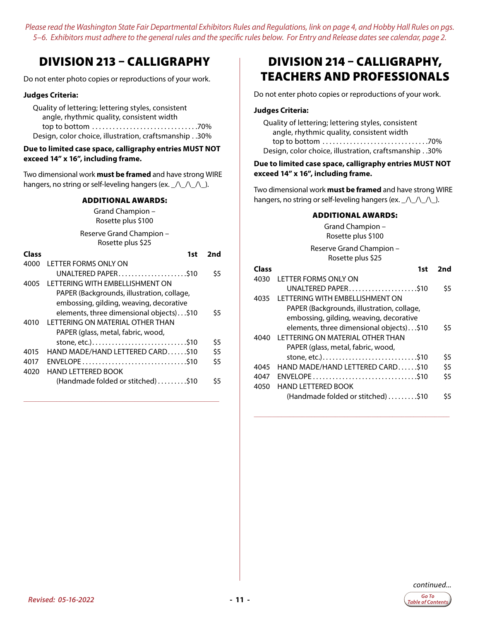### <span id="page-10-0"></span>DIVISION 213 – CALLIGRAPHY

Do not enter photo copies or reproductions of your work.

#### **Judges Criteria:**

Quality of lettering; lettering styles, consistent angle, rhythmic quality, consistent width top to bottom  $\ldots \ldots \ldots \ldots \ldots \ldots \ldots \ldots \ldots \ldots$ . 70% Design, color choice, illustration, craftsmanship. . 30%

#### **Due to limited case space, calligraphy entries MUST NOT exceed 14" x 16", including frame.**

Two dimensional work **must be framed** and have strong WIRE hangers, no string or self-leveling hangers (ex.  $\angle$ /\\_/\\_/\\_).

#### ADDITIONAL AWARDS:

Grand Champion – Rosette plus \$100

Reserve Grand Champion – Rosette plus \$25

| Class | 1st                                        | 2nd |
|-------|--------------------------------------------|-----|
| 4000  | LETTER FORMS ONLY ON                       |     |
|       | UNALTERED PAPER\$10                        | \$5 |
| 4005  | <b>I FTTFRING WITH EMBELLISHMENT ON</b>    |     |
|       | PAPER (Backgrounds, illustration, collage, |     |
|       | embossing, gilding, weaving, decorative    |     |
|       | elements, three dimensional objects)\$10   | \$5 |
| 4010  | I FTTFRING ON MATFRIAL OTHER THAN          |     |
|       | PAPER (glass, metal, fabric, wood,         |     |
|       | stone, etc.)\$10                           | \$5 |
| 4015  | HAND MADE/HAND LETTERED CARD\$10           | \$5 |
| 4017  |                                            | \$5 |
| 4020  | HAND I FTTFRFD BOOK                        |     |
|       | (Handmade folded or stitched) \$10         | S5  |

**\_\_\_\_\_\_\_\_\_\_\_\_\_\_\_\_\_\_\_\_\_\_\_\_\_\_\_\_\_\_\_\_\_\_\_\_\_\_\_\_\_\_\_\_\_\_\_\_\_\_\_\_\_\_\_\_\_\_\_\_\_\_\_\_\_**

### DIVISION 214 – CALLIGRAPHY, TEACHERS AND PROFESSIONALS

Do not enter photo copies or reproductions of your work.

#### **Judges Criteria:**

Quality of lettering; lettering styles, consistent angle, rhythmic quality, consistent width top to bottom. . 70% Design, color choice, illustration, craftsmanship. . 30%

#### **Due to limited case space, calligraphy entries MUST NOT exceed 14" x 16", including frame.**

Two dimensional work **must be framed** and have strong WIRE hangers, no string or self-leveling hangers (ex.  $\angle$   $\angle$   $\angle$   $\angle$   $\angle$ 

#### ADDITIONAL AWARDS:

Grand Champion – Rosette plus \$100

Reserve Grand Champion – Rosette plus \$25

| Class | 1st                                        | 2nd |
|-------|--------------------------------------------|-----|
| 4030  | LETTER FORMS ONLY ON                       |     |
|       |                                            | \$5 |
| 4035  | I FTTFRING WITH FMBFI I ISHMFNT ON         |     |
|       | PAPER (Backgrounds, illustration, collage, |     |
|       | embossing, gilding, weaving, decorative    |     |
|       | elements, three dimensional objects)\$10   | \$5 |
| 4040  | I FTTFRING ON MATFRIAL OTHER THAN          |     |
|       | PAPER (glass, metal, fabric, wood,         |     |
|       | stone, etc.)\$10                           | \$5 |
| 4045  | HAND MADE/HAND LETTERED CARDS10            | \$5 |
| 4047  |                                            | \$5 |
| 4050  | HAND I FTTFRED BOOK                        |     |
|       | (Handmade folded or stitched) \$10         | \$5 |

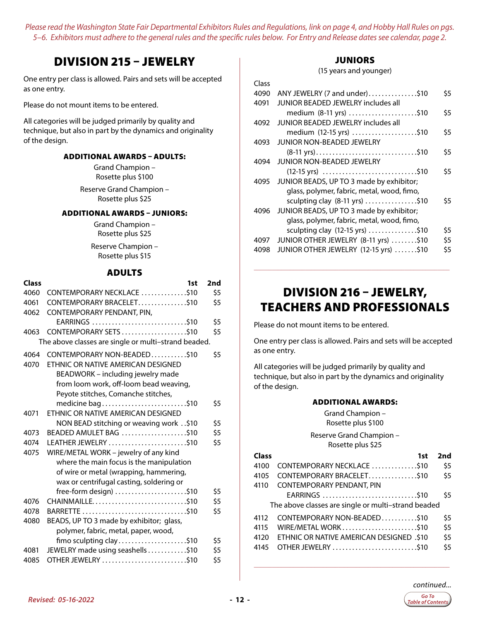### <span id="page-11-0"></span>DIVISION 215 – JEWELRY

One entry per class is allowed. Pairs and sets will be accepted as one entry.

Please do not mount items to be entered.

All categories will be judged primarily by quality and technique, but also in part by the dynamics and originality of the design.

#### ADDITIONAL AWARDS – ADULTS:

Grand Champion – Rosette plus \$100

Reserve Grand Champion – Rosette plus \$25

#### ADDITIONAL AWARDS – JUNIORS:

Grand Champion – Rosette plus \$25

Reserve Champion – Rosette plus \$15

#### ADULTS

| <b>Class</b> | 1st                                                          | 2nd |
|--------------|--------------------------------------------------------------|-----|
| 4060         | CONTEMPORARY NECKLACE \$10                                   | \$5 |
| 4061         | CONTEMPORARY BRACELET\$10                                    | \$5 |
| 4062         | CONTEMPORARY PENDANT, PIN,                                   |     |
|              | EARRINGS \$10                                                | \$5 |
| 4063         | CONTEMPORARY SETS\$10                                        | \$5 |
|              | The above classes are single or multi-strand beaded.         |     |
| 4064         | CONTEMPORARY NON-BEADED\$10                                  | \$5 |
| 4070         | FTHNIC OR NATIVE AMERICAN DESIGNED                           |     |
|              | BEADWORK - including jewelry made                            |     |
|              | from loom work, off-loom bead weaving,                       |     |
|              | Peyote stitches, Comanche stitches,                          |     |
|              | medicine bag\$10                                             | \$5 |
| 4071         | ETHNIC OR NATIVE AMERICAN DESIGNED                           |     |
|              | NON BEAD stitching or weaving work\$10                       | \$5 |
| 4073         | BEADED AMULET BAG \$10                                       | \$5 |
| 4074         | LEATHER JEWELRY \$10                                         | \$5 |
| 4075         | WIRE/METAL WORK - jewelry of any kind                        |     |
|              | where the main focus is the manipulation                     |     |
|              | of wire or metal (wrapping, hammering,                       |     |
|              | wax or centrifugal casting, soldering or                     |     |
|              | free-form design) $\ldots$ \$10                              | \$5 |
| 4076         |                                                              | \$5 |
| 4078         |                                                              | \$5 |
| 4080         | BEADS, UP TO 3 made by exhibitor; glass,                     |     |
|              | polymer, fabric, metal, paper, wood,                         | \$5 |
| 4081         | fimo sculpting clay\$10<br>JEWELRY made using seashells \$10 | \$5 |
| 4085         | OTHER JEWELRY \$10                                           | \$5 |
|              |                                                              |     |

#### **JUNIORS**

(15 years and younger)

| Class |                                               |     |
|-------|-----------------------------------------------|-----|
| 4090  | ANY JEWELRY (7 and under)\$10                 | \$5 |
| 4091  | JUNIOR BEADED JEWELRY includes all            |     |
|       | medium (8-11 yrs) \$10                        | \$5 |
| 4092  | JUNIOR BEADED JEWELRY includes all            |     |
|       | medium (12-15 yrs) \$10                       | \$5 |
| 4093  | <b>JUNIOR NON-BEADED JEWELRY</b>              |     |
|       | (8-11 yrs)\$10                                | \$5 |
| 4094  | JUNIOR NON-BEADED JEWELRY                     |     |
|       | $(12-15 \text{ yrs})$ \$10                    | \$5 |
|       | 4095 JUNIOR BEADS, UP TO 3 made by exhibitor; |     |
|       | glass, polymer, fabric, metal, wood, fimo,    |     |
|       | sculpting clay (8-11 yrs) \$10                | \$5 |
| 4096  | JUNIOR BEADS, UP TO 3 made by exhibitor;      |     |
|       | glass, polymer, fabric, metal, wood, fimo,    |     |
|       | sculpting clay (12-15 yrs) \$10               | \$5 |
| 4097  | JUNIOR OTHER JEWELRY (8-11 yrs) \$10          | \$5 |
| 4098  | JUNIOR OTHER JEWELRY (12-15 yrs) \$10         | \$5 |
|       |                                               |     |

### DIVISION 216 – JEWELRY, TEACHERS AND PROFESSIONALS

**\_\_\_\_\_\_\_\_\_\_\_\_\_\_\_\_\_\_\_\_\_\_\_\_\_\_\_\_\_\_\_\_\_\_\_\_\_\_\_\_\_\_\_\_\_\_\_\_\_\_\_\_\_\_\_\_\_\_\_\_\_\_\_\_\_**

Please do not mount items to be entered.

One entry per class is allowed. Pairs and sets will be accepted as one entry.

All categories will be judged primarily by quality and technique, but also in part by the dynamics and originality of the design.

|       | <b>ADDITIONAL AWARDS:</b><br>Grand Champion -<br>Rosette plus \$100 |     |
|-------|---------------------------------------------------------------------|-----|
|       | Reserve Grand Champion -<br>Rosette plus \$25                       |     |
| Class | 1st                                                                 | 2nd |
| 4100  | CONTEMPORARY NECKLACE \$10                                          | \$5 |
| 4105  |                                                                     | \$5 |
| 4110  | <b>CONTEMPORARY PENDANT, PIN</b>                                    |     |
|       | EARRINGS \$10                                                       | \$5 |
|       | The above classes are single or multi-strand beaded                 |     |
| 4112  | CONTEMPORARY NON-BEADED\$10                                         | \$5 |
| 4115  | WIRE/METAL WORK\$10                                                 | \$5 |
| 4120  | 510, ETHNIC OR NATIVE AMERICAN DESIGNED                             | \$5 |
| 4145  | OTHER JEWELRY \$10                                                  | \$5 |

**\_\_\_\_\_\_\_\_\_\_\_\_\_\_\_\_\_\_\_\_\_\_\_\_\_\_\_\_\_\_\_\_\_\_\_\_\_\_\_\_\_\_\_\_\_\_\_\_\_\_\_\_\_\_\_\_\_\_\_\_\_\_\_\_\_**

**Table of Contents**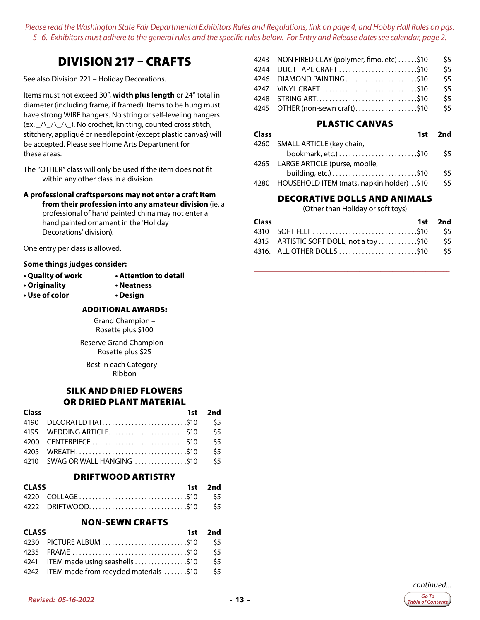### DIVISION 217 – CRAFTS

<span id="page-12-0"></span>See also Division 221 – Holiday Decorations.

Items must not exceed 30", **width plus length** or 24" total in diameter (including frame, if framed). Items to be hung must have strong WIRE hangers. No string or self-leveling hangers (ex. \_/\\_/\\_/\\_). No crochet, knitting, counted cross stitch, stitchery, appliqué or needlepoint (except plastic canvas) will be accepted. Please see Home Arts Department for these areas.

The "OTHER" class will only be used if the item does not fit within any other class in a division.

**A professional craftspersons may not enter a craft item from their profession into any amateur division** (ie. a professional of hand painted china may not enter a hand painted ornament in the 'Holiday Decorations' division).

One entry per class is allowed.

#### **Some things judges consider:**

- 
- **Quality of work Attention to detail**
- **Originality Neatness**
- **Use of color Design**

#### ADDITIONAL AWARDS:

Grand Champion – Rosette plus \$100 Reserve Grand Champion –

Rosette plus \$25

Best in each Category – Ribbon

#### SILK AND DRIED FLOWERS OR DRIED PLANT MATERIAL

| <b>Class</b> |                                    | 1st 2nd |
|--------------|------------------------------------|---------|
|              |                                    |         |
|              | 4195 WEDDING ARTICLE\$10 \$5       |         |
|              |                                    |         |
|              |                                    |         |
|              | 4210 SWAG OR WALL HANGING \$10 \$5 |         |

#### DRIFTWOOD ARTISTRY

| <b>CLASS</b> |                        | 1st 2nd |
|--------------|------------------------|---------|
|              |                        |         |
|              | 4222 DRIFTWOOD\$10 \$5 |         |

#### NON-SEWN CRAFTS

| <b>CLASS</b> |                                                 | 1st 2nd |
|--------------|-------------------------------------------------|---------|
|              |                                                 |         |
|              |                                                 |         |
|              | 4241 ITEM made using seashells \$10 \$5         |         |
|              | 4242 ITEM made from recycled materials \$10 \$5 |         |

| 4243 NON FIRED CLAY (polymer, fimo, etc) \$10 | - \$5 |
|-----------------------------------------------|-------|
| 4244 DUCT TAPE CRAFT \$10                     | \$5   |
| 4246 DIAMOND PAINTING\$10                     | \$5   |
|                                               | \$5   |
|                                               | \$5   |
| 4245 OTHER (non-sewn craft)\$10 \$5           |       |

#### PLASTIC CANVAS

| <b>Class</b> |                                                  | 1st 2nd |
|--------------|--------------------------------------------------|---------|
|              | 4260 SMALL ARTICLE (key chain,                   | S5      |
|              | 4265 LARGE ARTICLE (purse, mobile,               |         |
|              |                                                  | \$5     |
|              | 4280 HOUSEHOLD ITEM (mats, napkin holder) . \$10 | \$5     |

#### DECORATIVE DOLLS AND ANIMALS

(Other than Holiday or soft toys)

| <b>Class</b> |                                            | 1st 2nd |
|--------------|--------------------------------------------|---------|
|              |                                            |         |
|              | 4315 ARTISTIC SOFT DOLL, not a toy\$10 \$5 |         |
|              |                                            |         |

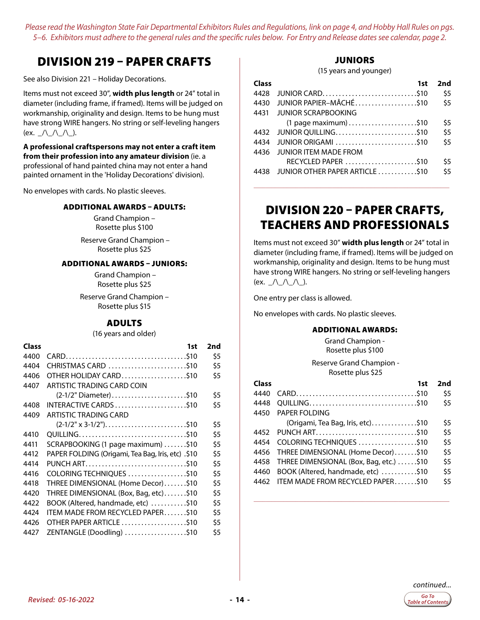### <span id="page-13-0"></span>DIVISION 219 – PAPER CRAFTS

See also Division 221 – Holiday Decorations.

Items must not exceed 30", **width plus length** or 24" total in diameter (including frame, if framed). Items will be judged on workmanship, originality and design. Items to be hung must have strong WIRE hangers. No string or self-leveling hangers (ex.  $\angle$ /\\_/\\_/\\_).

**A professional craftspersons may not enter a craft item from their profession into any amateur division** (ie. a professional of hand painted china may not enter a hand painted ornament in the 'Holiday Decorations' division).

No envelopes with cards. No plastic sleeves.

#### ADDITIONAL AWARDS – ADULTS:

Grand Champion – Rosette plus \$100

 Reserve Grand Champion – Rosette plus \$25

#### ADDITIONAL AWARDS – JUNIORS:

 Grand Champion – Rosette plus \$25

Reserve Grand Champion – Rosette plus \$15

#### ADULTS

(16 years and older)

| Class | 1st                                                                               | 2nd |
|-------|-----------------------------------------------------------------------------------|-----|
| 4400  |                                                                                   | \$5 |
| 4404  | CHRISTMAS CARD \$10                                                               | \$5 |
| 4406  | OTHER HOLIDAY CARD\$10                                                            | \$5 |
| 4407  | ARTISTIC TRADING CARD COIN                                                        |     |
|       | (2-1/2" Diameter)\$10                                                             | \$5 |
| 4408  | INTERACTIVE CARDS \$10                                                            | \$5 |
| 4409  | ARTISTIC TRADING CARD                                                             |     |
|       | $(2-1/2" x 3-1/2"). \ldots \ldots \ldots \ldots \ldots \ldots \ldots \ldots$ \$10 | \$5 |
| 4410  |                                                                                   | \$5 |
| 4411  | SCRAPBOOKING (1 page maximum) \$10                                                | \$5 |
| 4412  | PAPER FOLDING (Origami, Tea Bag, Iris, etc) .\$10                                 | \$5 |
| 4414  | PUNCH ART\$10                                                                     | \$5 |
| 4416  | COLORING TECHNIQUES \$10                                                          | \$5 |
| 4418  | THREE DIMENSIONAL (Home Decor)\$10                                                | \$5 |
| 4420  | THREE DIMENSIONAL (Box, Bag, etc)\$10                                             | \$5 |
| 4422  | BOOK (Altered, handmade, etc) \$10                                                | \$5 |
| 4424  | ITEM MADE FROM RECYCLED PAPER\$10                                                 | \$5 |
| 4426  | OTHER PAPER ARTICLE \$10                                                          | \$5 |
| 4427  | ZENTANGLE (Doodling) \$10                                                         | \$5 |
|       |                                                                                   |     |

#### **JUNIORS**

(15 years and younger)

| Class | 1st                             | 2nd |
|-------|---------------------------------|-----|
| 4428  |                                 | \$5 |
| 4430  | JUNIOR PAPIER-MÂCHÉ\$10         | \$5 |
| 4431  | JUNIOR SCRAPBOOKING             |     |
|       | $(1$ page maximum $)$ \$10      | \$5 |
| 4432  |                                 | \$5 |
| 4434  |                                 | \$5 |
| 4436  | <b>JUNIOR ITEM MADE FROM</b>    |     |
|       | RECYCLED PAPER \$10             | \$5 |
| 4438  | JUNIOR OTHER PAPER ARTICLE \$10 | \$5 |

### DIVISION 220 – PAPER CRAFTS, TEACHERS AND PROFESSIONALS

**\_\_\_\_\_\_\_\_\_\_\_\_\_\_\_\_\_\_\_\_\_\_\_\_\_\_\_\_\_\_\_\_\_\_\_\_\_\_\_\_\_\_\_\_\_\_\_\_\_\_\_\_\_\_\_\_\_\_\_\_\_\_\_\_\_**

Items must not exceed 30" **width plus length** or 24" total in diameter (including frame, if framed). Items will be judged on workmanship, originality and design. Items to be hung must have strong WIRE hangers. No string or self-leveling hangers (ex.  $\angle$ /\\_/\\_/\\_).

One entry per class is allowed.

No envelopes with cards. No plastic sleeves.

#### ADDITIONAL AWARDS:

Grand Champion - Rosette plus \$100

 Reserve Grand Champion - Rosette plus \$25

| Class | 1st                                     | 2nd |
|-------|-----------------------------------------|-----|
| 4440  |                                         | \$5 |
| 4448  |                                         | \$5 |
| 4450  | PAPER FOLDING                           |     |
|       | (Origami, Tea Bag, Iris, etc)\$10       | \$5 |
| 4452  | PUNCH ART\$10                           | \$5 |
| 4454  | COLORING TECHNIQUES \$10                | \$5 |
| 4456  | THREE DIMENSIONAL (Home Decor)\$10      | \$5 |
| 4458  | THREE DIMENSIONAL (Box, Bag, etc.) \$10 | \$5 |
| 4460  | BOOK (Altered, handmade, etc) \$10      | \$5 |
| 4462  | <b>ITEM MADE FROM RECYCLED PAPERS10</b> | \$5 |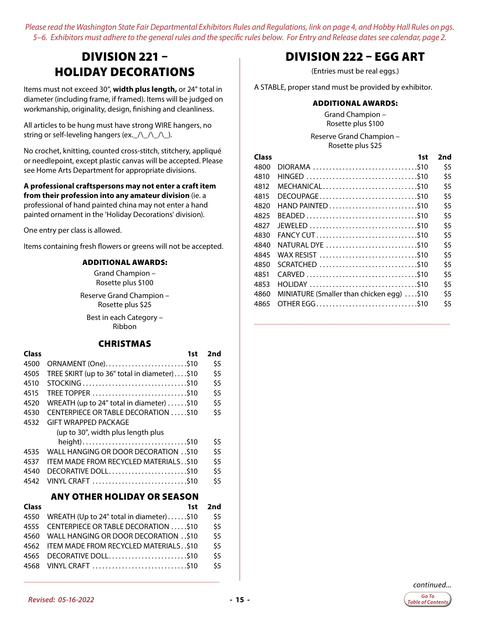### <span id="page-14-0"></span>DIVISION 221 – HOLIDAY DECORATIONS

Items must not exceed 30", **width plus length,** or 24" total in diameter (including frame, if framed). Items will be judged on workmanship, originality, design, finishing and cleanliness.

All articles to be hung must have strong WIRE hangers, no string or self-leveling hangers (ex.  $\wedge$   $\wedge$   $\wedge$  ).

No crochet, knitting, counted cross-stitch, stitchery, appliqué or needlepoint, except plastic canvas will be accepted. Please see Home Arts Department for appropriate divisions.

#### **A professional craftspersons may not enter a craft item from their profession into any amateur division** (ie. a professional of hand painted china may not enter a hand painted ornament in the 'Holiday Decorations' division).

One entry per class is allowed.

Items containing fresh flowers or greens will not be accepted.

#### ADDITIONAL AWARDS:

Grand Champion – Rosette plus \$100

Reserve Grand Champion – Rosette plus \$25

Best in each Category – Ribbon

#### CHRISTMAS

| Class | 1st                                               | 2nd |
|-------|---------------------------------------------------|-----|
| 4500  | ORNAMENT (One)\$10                                | \$5 |
| 4505  | TREE SKIRT (up to 36" total in diameter)\$10      | \$5 |
| 4510  |                                                   | \$5 |
| 4515  |                                                   | \$5 |
| 4520  | WREATH (up to 24" total in diameter) $\dots$ \$10 | \$5 |
| 4530  | CENTERPIECE OR TABLE DECORATION \$10              | \$5 |
| 4532  | GIFT WRAPPED PACKAGE                              |     |
|       | (up to 30", width plus length plus                |     |
|       | height)\$10                                       | \$5 |
| 4535  | WALL HANGING OR DOOR DECORATION \$10              | \$5 |
| 4537  | ITEM MADE FROM RECYCLED MATERIALS. .\$10          | \$5 |
| 4540  |                                                   | \$5 |
| 4542  |                                                   | \$5 |
|       |                                                   |     |

#### ANY OTHER HOLIDAY OR SEASON

| <b>Class</b> | 1st                                            | 2nd  |
|--------------|------------------------------------------------|------|
|              | 4550 WREATH (Up to 24" total in diameter) \$10 | \$5  |
|              | 4555 CENTERPIECE OR TABLE DECORATION \$10      | \$5  |
|              | 4560 WALL HANGING OR DOOR DECORATION\$10       | \$5  |
|              | 4562 ITEM MADE FROM RECYCLED MATERIALS. . \$10 | \$5  |
| 4565         | DECORATIVE DOLL\$10                            | \$5  |
|              | 4568 VINYL CRAFT \$10                          | \$5. |

**\_\_\_\_\_\_\_\_\_\_\_\_\_\_\_\_\_\_\_\_\_\_\_\_\_\_\_\_\_\_\_\_\_\_\_\_\_\_\_\_\_\_\_\_\_\_\_\_\_\_\_\_\_\_\_\_\_\_\_\_\_\_\_\_\_**

### DIVISION 222 – EGG ART

(Entries must be real eggs.)

A STABLE, proper stand must be provided by exhibitor.

#### ADDITIONAL AWARDS:

Grand Champion – Rosette plus \$100

Reserve Grand Champion – Rosette plus \$25

| Class | 1st                                       | 2nd |
|-------|-------------------------------------------|-----|
| 4800  | DIORAMA \$10                              | \$5 |
| 4810  | HINGED \$10                               | \$5 |
| 4812  |                                           | \$5 |
| 4815  | DECOUPAGE\$10                             | \$5 |
| 4820  |                                           | \$5 |
| 4825  |                                           | \$5 |
| 4827  |                                           | \$5 |
| 4830  | FANCY CUT\$10                             | \$5 |
| 4840  | NATURAL DYE \$10                          | \$5 |
| 4845  | WAX RESIST \$10                           | \$5 |
| 4850  |                                           | \$5 |
| 4851  |                                           | \$5 |
| 4853  |                                           | \$5 |
| 4860  | MINIATURE (Smaller than chicken egg) \$10 | \$5 |
| 4865  |                                           | \$5 |
|       |                                           |     |

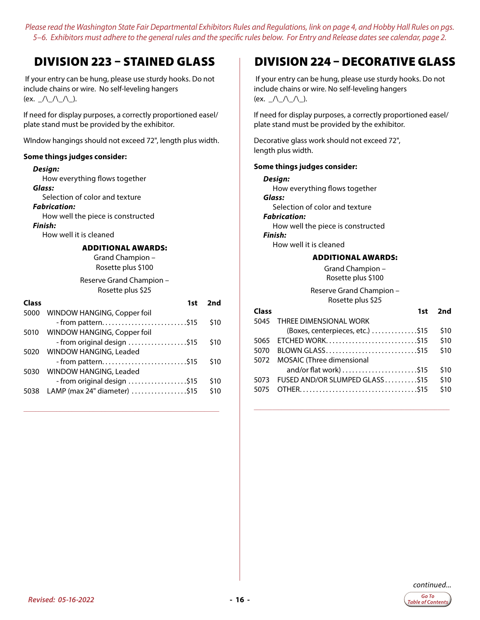### <span id="page-15-0"></span>DIVISION 223 – STAINED GLASS

 If your entry can be hung, please use sturdy hooks. Do not include chains or wire. No self-leveling hangers (ex.  $\angle$ /\\_/\\_/\\_).

If need for display purposes, a correctly proportioned easel/ plate stand must be provided by the exhibitor.

WIndow hangings should not exceed 72", length plus width.

#### **Some things judges consider:**

#### *Design:*

How everything flows together *Glass:*  Selection of color and texture *Fabrication:*  How well the piece is constructed *Finish:* 

How well it is cleaned

#### ADDITIONAL AWARDS:

Grand Champion – Rosette plus \$100

Reserve Grand Champion – Rosette plus \$25

| <b>Class</b> | 1st                                                 | 2nd  |
|--------------|-----------------------------------------------------|------|
| 5000         | WINDOW HANGING, Copper foil                         |      |
|              |                                                     | \$10 |
|              | 5010 WINDOW HANGING, Copper foil                    |      |
|              | - from original design \$15                         | \$10 |
|              | 5020 WINDOW HANGING, Leaded                         |      |
|              |                                                     | \$10 |
|              | 5030 WINDOW HANGING, Leaded                         |      |
|              | - from original design \$15                         | \$10 |
| 5038         | LAMP (max 24" diameter) $\dots\dots\dots\dots\dots$ | \$10 |
|              |                                                     |      |

**\_\_\_\_\_\_\_\_\_\_\_\_\_\_\_\_\_\_\_\_\_\_\_\_\_\_\_\_\_\_\_\_\_\_\_\_\_\_\_\_\_\_\_\_\_\_\_\_\_\_\_\_\_\_\_\_\_\_\_\_\_\_\_\_\_**

### DIVISION 224 – DECORATIVE GLASS

 If your entry can be hung, please use sturdy hooks. Do not include chains or wire. No self-leveling hangers (ex.  $\angle$ /\\_/\\_/\\_).

If need for display purposes, a correctly proportioned easel/ plate stand must be provided by the exhibitor.

Decorative glass work should not exceed 72", length plus width.

#### **Some things judges consider:**

| Design:                           |
|-----------------------------------|
| How everything flows together     |
| Glass:                            |
| Selection of color and texture    |
| Fabrication:                      |
| How well the piece is constructed |
| Finish:                           |
| How well it is cleaned            |
| <b>ADDITIONAL AWARDS:</b>         |
| Grand Champion -                  |
| Rosette plus \$100                |

Reserve Grand Champion – Rosette plus \$25

| Class | 1st                              | 2nd  |
|-------|----------------------------------|------|
| 5045  | THREE DIMENSIONAL WORK           |      |
|       | (Boxes, centerpieces, etc.) \$15 | \$10 |
| 5065  | ETCHED WORK\$15                  | \$10 |
| 5070  | BLOWN GLASS\$15                  | \$10 |
| 5072  | <b>MOSAIC</b> (Three dimensional |      |
|       |                                  | \$10 |
| 5073  | FUSED AND/OR SLUMPED GLASS\$15   | \$10 |
| 5075  |                                  | \$10 |
|       |                                  |      |

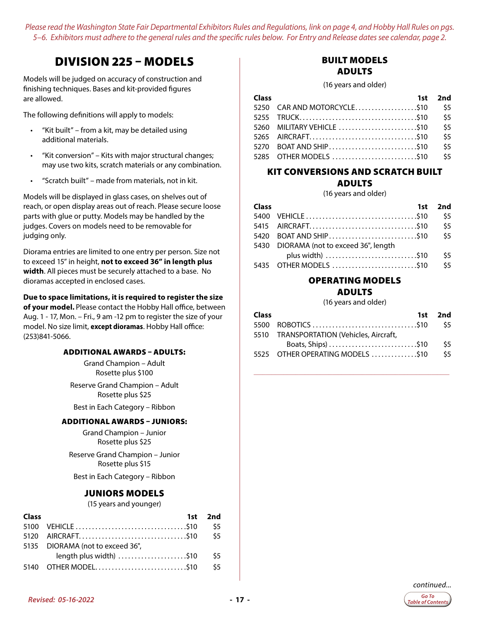### <span id="page-16-0"></span>DIVISION 225 – MODELS

Models will be judged on accuracy of construction and finishing techniques. Bases and kit-provided figures are allowed.

The following definitions will apply to models:

- "Kit built" from a kit, may be detailed using additional materials.
- "Kit conversion" Kits with major structural changes; may use two kits, scratch materials or any combination.
- "Scratch built" made from materials, not in kit.

Models will be displayed in glass cases, on shelves out of reach, or open display areas out of reach. Please secure loose parts with glue or putty. Models may be handled by the judges. Covers on models need to be removable for judging only.

Diorama entries are limited to one entry per person. Size not to exceed 15" in height, **not to exceed 36" in length plus width**. All pieces must be securely attached to a base. No dioramas accepted in enclosed cases.

#### **Due to space limitations, it is required to register the size**

**of your model.** Please contact the Hobby Hall office, between Aug. 1 - 17, Mon. – Fri., 9 am -12 pm to register the size of your model. No size limit, **except dioramas**. Hobby Hall office: (253)841-5066.

#### ADDITIONAL AWARDS – ADULTS:

Grand Champion – Adult Rosette plus \$100

Reserve Grand Champion – Adult Rosette plus \$25

Best in Each Category – Ribbon

#### ADDITIONAL AWARDS – JUNIORS:

Grand Champion – Junior Rosette plus \$25

Reserve Grand Champion – Junior Rosette plus \$15

Best in Each Category – Ribbon

#### JUNIORS MODELS

(15 years and younger)

| <b>Class</b> |                                  | 1st 2nd       |
|--------------|----------------------------------|---------------|
|              |                                  | - \$5         |
|              |                                  | <b>S5</b>     |
|              | 5135 DIORAMA (not to exceed 36", |               |
|              | length plus width) \$10          | $\frac{5}{5}$ |
|              |                                  | \$5           |

#### BUILT MODELS ADULTS

(16 years and older)

| Class |                             | 1st 2nd       |
|-------|-----------------------------|---------------|
|       | 5250 CAR AND MOTORCYCLE\$10 | \$5           |
|       |                             | $\frac{5}{5}$ |
|       |                             | \$5           |
|       |                             | \$5           |
|       | 5270 BOAT AND SHIP\$10      | \$5           |
|       | 5285 OTHER MODELS \$10      | \$5           |

#### KIT CONVERSIONS AND SCRATCH BUILT ADULTS

(16 years and older)

|                  | 1st 2nd                                                                                     |
|------------------|---------------------------------------------------------------------------------------------|
|                  | - \$5                                                                                       |
|                  | \$5                                                                                         |
|                  | \$5                                                                                         |
|                  |                                                                                             |
| plus width) \$10 | \$5                                                                                         |
|                  | \$5                                                                                         |
|                  | 5420 BOAT AND SHIP\$10<br>5430 DIORAMA (not to exceed 36", length<br>5435 OTHER MODELS \$10 |

#### OPERATING MODELS

#### ADULTS

(16 years and older)

| 1st 2nd |
|---------|
|         |
|         |
| \$5     |
| \$5     |
|         |

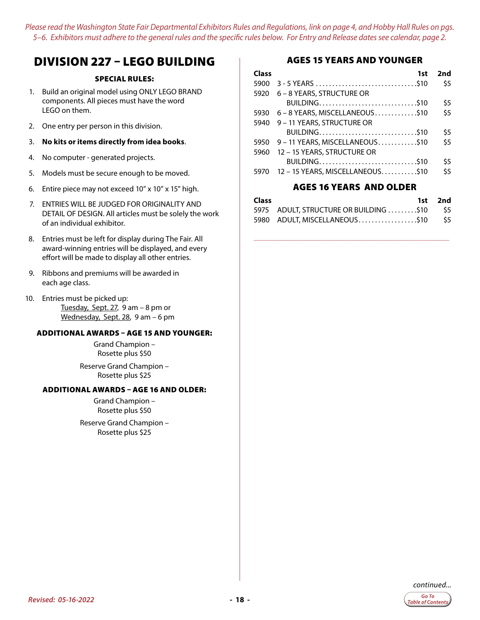### <span id="page-17-0"></span>DIVISION 227 – LEGO BUILDING

#### SPECIAL RULES:

- 1. Build an original model using ONLY LEGO BRAND components. All pieces must have the word LEGO on them.
- 2. One entry per person in this division.
- 3. **No kits or items directly from idea books**.
- 4. No computer generated projects.
- 5. Models must be secure enough to be moved.
- 6. Entire piece may not exceed 10" x 10" x 15" high.
- 7. ENTRIES WILL BE JUDGED FOR ORIGINALITY AND DETAIL OF DESIGN. All articles must be solely the work of an individual exhibitor.
- 8. Entries must be left for display during The Fair. All award-winning entries will be displayed, and every effort will be made to display all other entries.
- 9. Ribbons and premiums will be awarded in each age class.
- 10. Entries must be picked up: Tuesday, Sept. 27, 9 am – 8 pm or Wednesday, Sept. 28, 9 am – 6 pm

#### ADDITIONAL AWARDS – AGE 15 AND YOUNGER:

Grand Champion – Rosette plus \$50

Reserve Grand Champion – Rosette plus \$25

#### ADDITIONAL AWARDS – AGE 16 AND OLDER:

Grand Champion – Rosette plus \$50

Reserve Grand Champion – Rosette plus \$25

#### AGES 15 YEARS AND YOUNGER

| Class | 1st                                  | 2nd |
|-------|--------------------------------------|-----|
| 5900  |                                      | \$5 |
| 5920  | 6 – 8 YEARS, STRUCTURE OR            |     |
|       | BUILDING\$10                         | \$5 |
|       | 5930 6 - 8 YEARS, MISCELLANEOUS\$10  | \$5 |
|       | 5940 9 - 11 YEARS, STRUCTURE OR      |     |
|       | BUILDING\$10                         | \$5 |
|       | 5950 9 - 11 YEARS, MISCELLANEOUS\$10 | \$5 |
| 5960  | 12 - 15 YEARS, STRUCTURE OR          |     |
|       | BUILDING\$10                         | \$5 |
| 5970  | 12 - 15 YEARS, MISCELLANEOUS\$10     | \$5 |
|       |                                      |     |

#### AGES 16 YEARS AND OLDER

| Class |                                            | 1st 2nd |
|-------|--------------------------------------------|---------|
|       | 5975 ADULT, STRUCTURE OR BUILDING \$10 \$5 |         |
|       | 5980 ADULT, MISCELLANEOUS. \$10 \$5        |         |

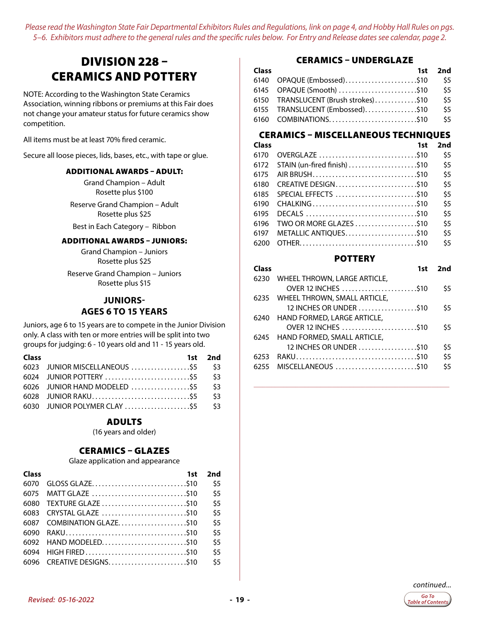### <span id="page-18-0"></span>DIVISION 228 – CERAMICS AND POTTERY

NOTE: According to the Washington State Ceramics Association, winning ribbons or premiums at this Fair does not change your amateur status for future ceramics show competition.

All items must be at least 70% fired ceramic.

Secure all loose pieces, lids, bases, etc., with tape or glue.

#### ADDITIONAL AWARDS – ADULT:

Grand Champion – Adult Rosette plus \$100

Reserve Grand Champion – Adult Rosette plus \$25

Best in Each Category – Ribbon

#### ADDITIONAL AWARDS – JUNIORS:

Grand Champion – Juniors Rosette plus \$25

Reserve Grand Champion – Juniors Rosette plus \$15

#### **JUNIORS-AGES 6 TO 15 YEARS**

Juniors, age 6 to 15 years are to compete in the Junior Division only. A class with ten or more entries will be split into two groups for judging: 6 - 10 years old and 11 - 15 years old.

| <b>Class</b>                      | 1st 2nd |
|-----------------------------------|---------|
| 6023 JUNIOR MISCELLANEOUS \$5 \$3 |         |
|                                   |         |
| 6026 JUNIOR HAND MODELED  \$5 \$3 |         |
|                                   |         |
| 6030 JUNIOR POLYMER CLAY \$5 \$3  |         |

#### ADULTS

(16 years and older)

#### CERAMICS – GLAZES

Glaze application and appearance

| Class | 1st                        | 2nd |
|-------|----------------------------|-----|
| 6070  | GLOSS GLAZE\$10            | \$5 |
| 6075  |                            | \$5 |
| 6080  |                            | \$5 |
| 6083  |                            | \$5 |
|       | 6087 COMBINATION GLAZE\$10 | \$5 |
| 6090  |                            | \$5 |
| 6092  |                            | \$5 |
| 6094  |                            | \$5 |
|       | 6096 CREATIVE DESIGNS\$10  | \$5 |

#### CERAMICS – UNDERGLAZE

| <b>Class</b> |                                      | 1st 2nd |
|--------------|--------------------------------------|---------|
|              | 6140 OPAQUE (Embossed)\$10           | \$5     |
|              | 6145 OPAQUE (Smooth) \$10            | \$5     |
|              | 6150 TRANSLUCENT (Brush strokes)\$10 | \$5     |
|              | 6155 TRANSLUCENT (Embossed)\$10      | \$5     |
|              |                                      | \$5     |

#### CERAMICS – MISCELLANEOUS TECHNIQUES

| Class | 1st                          | 2nd |
|-------|------------------------------|-----|
| 6170  |                              | \$5 |
| 6172  | STAIN (un-fired finish) \$10 | \$5 |
| 6175  |                              | \$5 |
| 6180  |                              | \$5 |
| 6185  | SPECIAL EFFECTS \$10         | \$5 |
| 6190  |                              | \$5 |
| 6195  |                              | \$5 |
| 6196  | TWO OR MORE GLAZES \$10      | \$5 |
| 6197  | METALLIC ANTIQUES\$10        | \$5 |
| 6200  |                              | \$5 |
|       |                              |     |

#### **POTTERY**

| Class | 1st                               | 2nd |
|-------|-----------------------------------|-----|
|       | 6230 WHEEL THROWN, LARGE ARTICLE, |     |
|       | OVER 12 INCHES \$10               | \$5 |
|       | 6235 WHEEL THROWN, SMALL ARTICLE, |     |
|       | 12 INCHES OR UNDER \$10           | \$5 |
|       | 6240 HAND FORMED, LARGE ARTICLE,  |     |
|       | OVER 12 INCHES \$10               | \$5 |
|       | 6245 HAND FORMED, SMALL ARTICLE,  |     |
|       | 12 INCHES OR UNDER \$10           | \$5 |
| 6253  |                                   | \$5 |
|       | 6255 MISCELLANEOUS \$10           | \$5 |
|       |                                   |     |

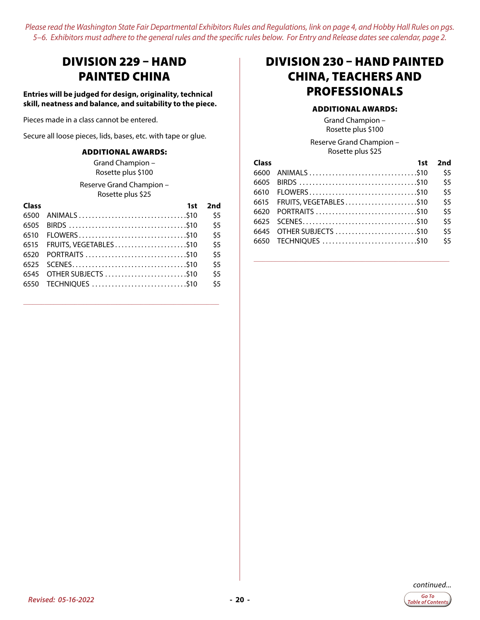### <span id="page-19-0"></span>DIVISION 229 – HAND PAINTED CHINA

**Entries will be judged for design, originality, technical skill, neatness and balance, and suitability to the piece.**

Pieces made in a class cannot be entered.

Secure all loose pieces, lids, bases, etc. with tape or glue.

#### ADDITIONAL AWARDS:

Grand Champion – Rosette plus \$100

Reserve Grand Champion – Rosette plus \$25

| Class | 1st                         | 2nd |
|-------|-----------------------------|-----|
| 6500  |                             | \$5 |
| 6505  |                             | \$5 |
| 6510  | FLOWERS\$10                 | \$5 |
|       | 6515 FRUITS, VEGETABLES\$10 | \$5 |
| 6520  |                             | \$5 |
|       |                             | \$5 |
|       | 6545 OTHER SUBJECTS \$10    | \$5 |
|       | 6550 TECHNIQUES \$10        | \$5 |
|       |                             |     |

**\_\_\_\_\_\_\_\_\_\_\_\_\_\_\_\_\_\_\_\_\_\_\_\_\_\_\_\_\_\_\_\_\_\_\_\_\_\_\_\_\_\_\_\_\_\_\_\_\_\_\_\_\_\_\_\_\_\_\_\_\_\_\_\_\_**

### DIVISION 230 – HAND PAINTED CHINA, TEACHERS AND PROFESSIONALS

#### ADDITIONAL AWARDS:

Grand Champion – Rosette plus \$100

Reserve Grand Champion – Rosette plus \$25

| Class | 1st                         | 2nd |
|-------|-----------------------------|-----|
|       |                             | \$5 |
| 6605  |                             | \$5 |
|       |                             | \$5 |
|       | 6615 FRUITS, VEGETABLES\$10 | \$5 |
|       |                             | \$5 |
|       |                             | \$5 |
|       |                             | \$5 |
|       | 6650 TECHNIQUES \$10        | \$5 |

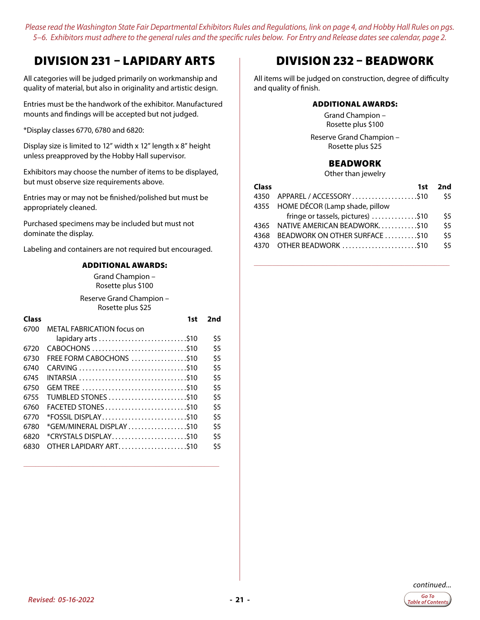### <span id="page-20-0"></span>DIVISION 231 – LAPIDARY ARTS

All categories will be judged primarily on workmanship and quality of material, but also in originality and artistic design.

Entries must be the handwork of the exhibitor. Manufactured mounts and findings will be accepted but not judged.

\*Display classes 6770, 6780 and 6820:

Display size is limited to 12" width x 12" length x 8" height unless preapproved by the Hobby Hall supervisor.

Exhibitors may choose the number of items to be displayed, but must observe size requirements above.

Entries may or may not be finished/polished but must be appropriately cleaned.

Purchased specimens may be included but must not dominate the display.

Labeling and containers are not required but encouraged.

#### ADDITIONAL AWARDS:

Grand Champion – Rosette plus \$100

Reserve Grand Champion – Rosette plus \$25

| 1st                        | 2nd |
|----------------------------|-----|
| METAL FABRICATION focus on |     |
|                            | \$5 |
| CABOCHONS \$10             | \$5 |
|                            | \$5 |
|                            | \$5 |
|                            | \$5 |
|                            | \$5 |
|                            | \$5 |
| FACETED STONES\$10         | \$5 |
| *FOSSIL DISPLAY\$10        | \$5 |
| *GEM/MINERAL DISPLAY \$10  | \$5 |
| *CRYSTALS DISPLAY\$10      | \$5 |
|                            | \$5 |
|                            |     |

**\_\_\_\_\_\_\_\_\_\_\_\_\_\_\_\_\_\_\_\_\_\_\_\_\_\_\_\_\_\_\_\_\_\_\_\_\_\_\_\_\_\_\_\_\_\_\_\_\_\_\_\_\_\_\_\_\_\_\_\_\_\_\_\_\_**

### DIVISION 232 – BEADWORK

All items will be judged on construction, degree of difficulty and quality of finish.

#### ADDITIONAL AWARDS:

Grand Champion – Rosette plus \$100 Reserve Grand Champion –

Rosette plus \$25

#### BEADWORK

Other than jewelry

| <b>Class</b> | 1st                                 | 2nd |
|--------------|-------------------------------------|-----|
| 4350         | APPAREL / ACCESSORY\$10             | \$5 |
|              | 4355 HOME DÉCOR (Lamp shade, pillow |     |
|              | fringe or tassels, pictures) \$10   | \$5 |
| 4365         | NATIVE AMERICAN BEADWORK\$10        | \$5 |
| 4368         | BEADWORK ON OTHER SURFACE \$10      | \$5 |
| 4370         | OTHER BEADWORK \$10                 | \$5 |
|              |                                     |     |

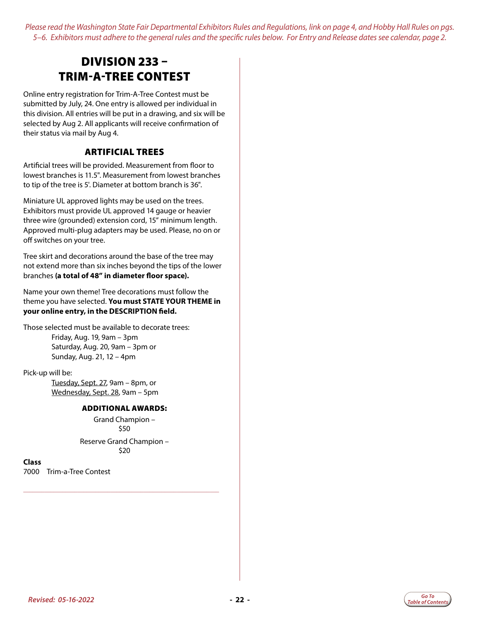### <span id="page-21-0"></span>DIVISION 233 – TRIM-A-TREE CONTEST

Online entry registration for Trim-A-Tree Contest must be submitted by July, 24. One entry is allowed per individual in this division. All entries will be put in a drawing, and six will be selected by Aug 2. All applicants will receive confirmation of their status via mail by Aug 4.

#### ARTIFICIAL TREES

Artificial trees will be provided. Measurement from floor to lowest branches is 11.5". Measurement from lowest branches to tip of the tree is 5'. Diameter at bottom branch is 36".

Miniature UL approved lights may be used on the trees. Exhibitors must provide UL approved 14 gauge or heavier three wire (grounded) extension cord, 15" minimum length. Approved multi-plug adapters may be used. Please, no on or off switches on your tree.

Tree skirt and decorations around the base of the tree may not extend more than six inches beyond the tips of the lower branches **(a total of 48" in diameter floor space).**

Name your own theme! Tree decorations must follow the theme you have selected. **You must STATE YOUR THEME in your online entry, in the DESCRIPTION field.** 

Those selected must be available to decorate trees: Friday, Aug. 19, 9am – 3pm Saturday, Aug. 20, 9am – 3pm or Sunday, Aug. 21, 12 – 4pm

Pick-up will be:

Tuesday, Sept. 27, 9am – 8pm, or Wednesday, Sept. 28, 9am – 5pm

#### ADDITIONAL AWARDS:

Grand Champion – \$50

Reserve Grand Champion – \$20

**\_\_\_\_\_\_\_\_\_\_\_\_\_\_\_\_\_\_\_\_\_\_\_\_\_\_\_\_\_\_\_\_\_\_\_\_\_\_\_\_\_\_\_\_\_\_\_\_\_\_\_\_\_\_\_\_\_\_\_\_\_\_\_\_\_**

**Class** 7000 Trim-a-Tree Contest

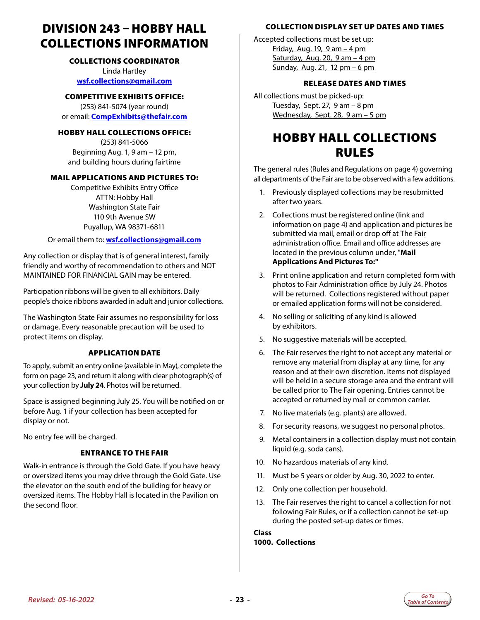### <span id="page-22-0"></span>DIVISION 243 – HOBBY HALL COLLECTIONS INFORMATION

#### COLLECTIONS COORDINATOR

Linda Hartley **[wsf.collections@gmail.com](mailto:wsf.collections%40gmail.com?subject=Hobby%20Hall)**

#### COMPETITIVE EXHIBITS OFFICE:

(253) 841-5074 (year round) or email: **[CompExhibits@thefair.com](mailto:CompExhibits%40thefair.com?subject=Competitive%20Exhibits%20question)**

#### HOBBY HALL COLLECTIONS OFFICE:

(253) 841-5066 Beginning Aug. 1, 9 am – 12 pm, and building hours during fairtime

#### MAIL APPLICATIONS AND PICTURES TO:

Competitive Exhibits Entry Office ATTN: Hobby Hall Washington State Fair 110 9th Avenue SW Puyallup, WA 98371-6811

Or email them to: **[wsf.collections@gmail.com](mailto:wsf.collections%40gmail.com?subject=Hobby%20Hall)**

Any collection or display that is of general interest, family friendly and worthy of recommendation to others and NOT MAINTAINED FOR FINANCIAL GAIN may be entered.

Participation ribbons will be given to all exhibitors. Daily people's choice ribbons awarded in adult and junior collections.

The Washington State Fair assumes no responsibility for loss or damage. Every reasonable precaution will be used to protect items on display.

#### APPLICATION DATE

To apply, submit an entry online (available in May), complete the form on page 23, and return it along with clear photograph(s) of your collection by **July 24**. Photos will be returned.

Space is assigned beginning July 25. You will be notified on or before Aug. 1 if your collection has been accepted for display or not.

No entry fee will be charged.

#### ENTRANCE TO THE FAIR

Walk-in entrance is through the Gold Gate. If you have heavy or oversized items you may drive through the Gold Gate. Use the elevator on the south end of the building for heavy or oversized items. The Hobby Hall is located in the Pavilion on the second floor.

#### COLLECTION DISPLAY SET UP DATES AND TIMES

Accepted collections must be set up: Friday, Aug. 19, 9 am – 4 pm Saturday, Aug. 20, 9 am - 4 pm Sunday, Aug. 21, 12 pm – 6 pm

#### RELEASE DATES AND TIMES

All collections must be picked-up: Tuesday, Sept. 27, 9 am – 8 pm Wednesday, Sept. 28, 9 am – 5 pm

### HOBBY HALL COLLECTIONS RULES

The general rules (Rules and Regulations on page 4) governing all departments of the Fair are to be observed with a few additions.

- 1. Previously displayed collections may be resubmitted after two years.
- 2. Collections must be registered online (link and information on page 4) and application and pictures be submitted via mail, email or drop off at The Fair administration office. Email and office addresses are located in the previous column under, "**Mail Applications And Pictures To:"**
- 3. Print online application and return completed form with photos to Fair Administration office by July 24. Photos will be returned. Collections registered without paper or emailed application forms will not be considered.
- 4. No selling or soliciting of any kind is allowed by exhibitors.
- 5. No suggestive materials will be accepted.
- 6. The Fair reserves the right to not accept any material or remove any material from display at any time, for any reason and at their own discretion. Items not displayed will be held in a secure storage area and the entrant will be called prior to The Fair opening. Entries cannot be accepted or returned by mail or common carrier.
- 7. No live materials (e.g. plants) are allowed.
- 8. For security reasons, we suggest no personal photos.
- 9. Metal containers in a collection display must not contain liquid (e.g. soda cans).
- 10. No hazardous materials of any kind.
- 11. Must be 5 years or older by Aug. 30, 2022 to enter.
- 12. Only one collection per household.
- 13. The Fair reserves the right to cancel a collection for not following Fair Rules, or if a collection cannot be set-up during the posted set-up dates or times.

**Class 1000. Collections**